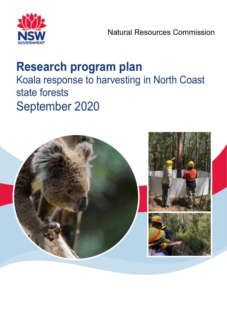

# **Research program plan** Koala response to harvesting in North Coast state forests September 2020

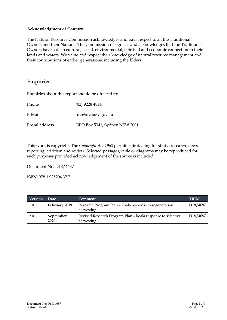#### **Acknowledgment of Country**

The Natural Resource Commission acknowledges and pays respect to all the Traditional Owners and their Nations. The Commission recognises and acknowledges that the Traditional Owners have a deep cultural, social, environmental, spiritual and economic connection to their lands and waters. We value and respect their knowledge of natural resource management and their contributions of earlier generations, including the Elders.

### **Enquiries**

Enquiries about this report should be directed to:

Phone (02) 9228 4844

E-Mail nrc@nrc.nsw.gov.au

Postal address GPO Box 5341, Sydney NSW 2001

This work is copyright. The *Copyright Act 1968* permits fair dealing for study, research, news reporting, criticism and review. Selected passages, table or diagrams may be reproduced for such purposes provided acknowledgement of the source is included.

Document No. D18/4687

ISBN: 978 1 925204 37 7

| <b>Version</b> | Date              | <b>Comment</b>                                                            | <b>TRIM</b>           |
|----------------|-------------------|---------------------------------------------------------------------------|-----------------------|
| $1.0\,$        | February 2019     | Research Program Plan – koala response to regeneration<br>harvesting      | D <sub>18</sub> /4687 |
| 2.0            | September<br>2020 | Revised Research Program Plan - koala response to selective<br>harvesting | D <sub>18</sub> /4687 |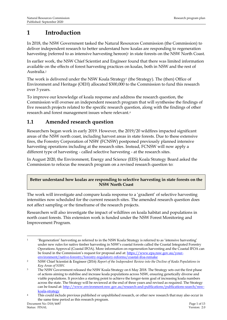## **1 Introduction**

In 2018, the NSW Government tasked the Natural Resources Commission (the Commission) to deliver independent research to better understand how koalas are responding to regeneration harvesting (referred to as intensive harvesting hereon)<sup>1</sup> in state forests on the NSW North Coast.

In earlier work, the NSW Chief Scientist and Engineer found that there was limited information available on the effects of forest harvesting practices on koalas, both in NSW and the rest of Australia.<sup>2</sup>

The work is delivered under the NSW Koala Strategy<sup>3</sup> (the Strategy). The (then) Office of Environment and Heritage (OEH) allocated \$300,000 to the Commission to fund this research over 3 years.

To improve our knowledge of koala response and address the research question, the Commission will oversee an independent research program that will synthesise the findings of five research projects related to the specific research question, along with the findings of other research and forest management issues where relevant.<sup>4</sup>

### **1.1 Amended research question**

Researchers began work in early 2019. However, the 2019/20 wildfires impacted significant areas of the NSW north coast, including harvest areas in state forests. Due to these extensive fires, the Forestry Corporation of NSW (FCNSW) postponed previously planned intensive harvesting operations including at the research sites. Instead, FCNSW will now apply a different type of harvesting - called selective harvesting - at the research sites.

In August 2020, the Environment, Energy and Science (EES) Koala Strategy Board asked the Commission to refocus the research program on a revised research question to:

### **Better understand how koalas are responding to selective harvesting in state forests on the NSW North Coast**

The work will investigate and compare koala response to a 'gradient' of selective harvesting intensities now scheduled for the current research sites. The amended research question does not affect sampling or the timeframe of the research projects.

Researchers will also investigate the impact of wildfires on koala habitat and populations in north coast forests. This extension work is funded under the NSW Forest Monitoring and Improvement Program.

<sup>1</sup> 'Regeneration' harvesting as referred to in the NSW Koala Strategy is referred to as 'intensive harvesting' under new rules for native timber harvesting in NSW's coastal forests called the Coastal Integrated Forestry Operations Approval (Coastal IFOA). More information on regeneration harvesting and the Coastal IFOA can be found in the Commission's request for proposal and at: [https://www.epa.nsw.gov.au/your](https://www.epa.nsw.gov.au/your-environment/native-forestry/forestry-regulatory-reforms/coastal-ifoa-remake)[environment/native-forestry/forestry-regulatory-reforms/coastal-ifoa-remake](https://www.epa.nsw.gov.au/your-environment/native-forestry/forestry-regulatory-reforms/coastal-ifoa-remake)

<sup>2</sup> NSW Chief Scientist & Engineer (2016) *Report of the Independent Review into the Decline of Koala Populations in Key Areas of NSW.* 

<sup>&</sup>lt;sup>3</sup> The NSW Government released the NSW Koala Strategy on 6 May 2018. The Strategy sets out the first phase of actions aiming to stabilise and increase koala populations across NSW, ensuring genetically diverse and viable populations. It provides a starting point to achieve the longer-term goal of increasing koala numbers across the state. The Strategy will be reviewed at the end of three years and revised as required. The Strategy can be found at: [http://www.environment.nsw.gov.au/research-and-publications/publications-search/nsw](http://www.environment.nsw.gov.au/research-and-publications/publications-search/nsw-koala-strategy)[koala-strategy](http://www.environment.nsw.gov.au/research-and-publications/publications-search/nsw-koala-strategy)

<sup>4</sup> This could include previous published or unpublished research, or other new research that may also occur in the same time period as this research program.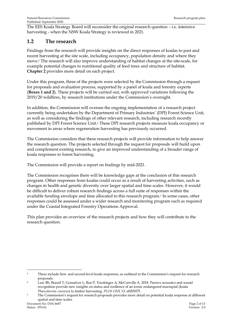The EES Koala Strategy Board will reconsider the original research question – i.e. intensive harvesting - when the NSW Koala Strategy is reviewed in 2021.

### **1.2 The research**

Findings from the research will provide insights on the direct responses of koalas to past and recent harvesting at the site scale, including occupancy, population density and where they move. <sup>5</sup> The research will also improve understanding of habitat changes at the site-scale, for example potential changes to nutritional quality of feed trees and structure of habitat. **Chapter 2** provides more detail on each project.

Under this program, three of the projects were selected by the Commission through a request for proposals and evaluation process, supported by a panel of koala and forestry experts (**Boxes 1 and 2**). These projects will be carried out, with approved variations following the 2019/20 wildfires, by research institutions under the Commission's oversight.

In addition, the Commission will oversee the ongoing implementation of a research project currently being undertaken by the Department of Primary Industries' (DPI) Forest Science Unit, as well as considering the findings of other relevant research, including research recently published by DPI Forest Science Unit. <sup>6</sup> These DPI research projects measure koala occupancy or movement in areas where regeneration harvesting has previously occurred.

The Commission considers that these research projects will provide information to help answer the research question. The projects selected through the request for proposals will build upon and complement existing research, to give an improved understanding of a broader range of koala responses to forest harvesting.

The Commission will provide a report on findings by mid-2021.

The Commission recognises there will be knowledge gaps at the conclusion of this research program. Other responses from koalas could occur as a result of harvesting activities, such as changes in health and genetic diversity over larger spatial and time scales. However, it would be difficult to deliver robust research findings across a full suite of responses within the available funding envelope and time allocated to this research program.<sup>7</sup> In some cases, other responses could be assessed under a wider research and monitoring program such as required under the Coastal Integrated Forestry Operations Approval.

This plan provides an overview of the research projects and how they will contribute to the research question.

<sup>&</sup>lt;sup>5</sup> These include first- and second-level koala responses, as outlined in the Commission's request for research proposals.

<sup>6</sup> Law BS, Brassil T, Gonsalves L, Roe P, Truskinger A, McConville A. 2018. Passive acoustics and sound recognition provide new insights on status and resilience of an iconic endangered marsupial (koala *Phascolarctos cinereus*) to timber harvesting. *PLOS ONE* 13: e0205075.

<sup>7</sup> The Commission's request for research proposals provides more detail on potential koala response at different spatial and time scales.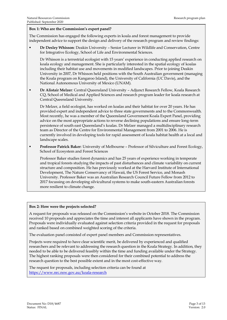#### **Box 1: Who are the Commission's expert panel?**

The Commission has engaged the following experts in koala and forest management to provide independent advice to support the design and delivery of the research program and review findings:

▪ **Dr Desley Whisson**: Deakin University – Senior Lecturer in Wildlife and Conservation, Centre for Integrative Ecology, School of Life and Environmental Sciences.

Dr Whisson is a terrestrial ecologist with 15 years' experience in conducting applied research on koala ecology and management. She is particularly interested in the spatial ecology of koalas including their habitat use and movements in modified landscapes. Prior to joining Deakin University in 2007, Dr Whisson held positions with the South Australian government (managing the Koala program on Kangaroo Island), the University of California (UC Davis), and the National Autonomous University of Mexico (UNAM).

▪ **Dr Alistair Melzer**: Central Queensland University – Adjunct Research Fellow, Koala Research CQ, School of Medical and Applied Sciences and research program leader for koala research at Central Queensland University.

Dr Melzer, a field ecologist, has worked on koalas and their habitat for over 20 years. He has provided expert and independent advice to three state governments and to the Commonwealth. Most recently, he was a member of the Queensland Government Koala Expert Panel, providing advice on the most appropriate actions to reverse declining populations and ensure long-term persistence of south east Queensland's koalas. Dr Melzer managed a multidisciplinary research team as Director of the Centre for Environmental Management from 2001 to 2006. He is currently involved in developing tools for rapid assessment of koala habitat health at a local and landscape scales.

**Professor Patrick Baker**: University of Melbourne – Professor of Silviculture and Forest Ecology, School of Ecosystem and Forest Sciences

Professor Baker studies forest dynamics and has 25 years of experience working in temperate and tropical forests studying the impacts of past disturbances and climate variability on current structure and composition. He has previously worked at the Harvard Institute of International Development, The Nature Conservancy of Hawaii, the US Forest Service, and Monash University. Professor Baker was an Australian Research Council Future Fellow from 2012 to 2017 focussing on developing silvicultural systems to make south-eastern Australian forests more resilient to climate change.

#### **Box 2: How were the projects selected?**

A request for proposals was released on the Commission's website in October 2018. The Commission received 10 proposals and appreciates the time and interest all applicants have shown in the program. Proposals were individually evaluated against selection criteria provided in the request for proposals and ranked based on combined weighted scoring of the criteria.

The evaluation panel consisted of expert panel members and Commission representatives.

Projects were required to have clear scientific merit, be delivered by experienced and qualified researchers and be relevant to addressing the research question in the Koala Strategy. In addition, they needed to be able to be delivered feasibly within the time and funding available under the Strategy. The highest ranking proposals were then considered for their combined potential to address the research question to the best possible extent and in the most cost-effective way.

The request for proposals, including selection criteria can be found at <https://www.nrc.nsw.gov.au/koala-research>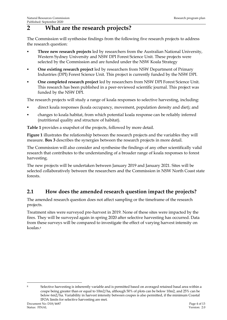# **2 What are the research projects?**

The Commission will synthesise findings from the following five research projects to address the research question:

- **Three new research projects** led by researchers from the Australian National University, Western Sydney University and NSW DPI Forest Science Unit. These projects were selected by the Commission and are funded under the NSW Koala Strategy
- **One existing research project** led by researchers from NSW Department of Primary Industries (DPI) Forest Science Unit. This project is currently funded by the NSW DPI.
- One completed research project led by researchers from NSW DPI Forest Science Unit. This research has been published in a peer-reviewed scientific journal. This project was funded by the NSW DPI.

The research projects will study a range of koala responses to selective harvesting, including:

- direct koala responses (koala occupancy, movement, population density and diet); and
- changes to koala habitat, from which potential koala response can be reliably inferred (nutritional quality and structure of habitat).

**Table 1** provides a snapshot of the projects, followed by more detail.

**Figure 1** illustrates the relationship between the research projects and the variables they will measure. **Box 3** describes the synergies between the research projects in more detail.

The Commission will also consider and synthesise the findings of any other scientifically valid research that contributes to the understanding of a broader range of koala responses to forest harvesting.

The new projects will be undertaken between January 2019 and January 2021. Sites will be selected collaboratively between the researchers and the Commission in NSW North Coast state forests.

### **2.1 How does the amended research question impact the projects?**

The amended research question does not affect sampling or the timeframe of the research projects.

Treatment sites were surveyed pre-harvest in 2019. None of these sites were impacted by the fires. They will be surveyed again in spring 2020 after selective harvesting has occurred. Data from these surveys will be compared to investigate the effect of varying harvest intensity on koalas.<sup>8</sup>

Document No: D18/4687 Page 4 of 13<br>
Status: FINAL Presion: 2.0 <sup>8</sup> Selective harvesting is inherently variable and is permitted based on averaged retained basal area within a coupe being greater than or equal to 10m2/ha, although 50% of plots can be below 10m2, and 25% can be below 6m2/ha. Variability in harvest intensity between coupes is also permitted, if the minimum Coastal IFOA limits for selective harvesting are met.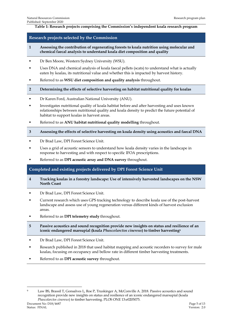#### **Table 1: Research projects comprising the Commission's independent koala research program**

#### **Research projects selected by the Commission**

- **1 Assessing the contribution of regenerating forests to koala nutrition using molecular and chemical faecal analysis to understand koala diet composition and quality**
- **Dr Ben Moore, Western Sydney University (WSU).**
- Uses DNA and chemical analysis of koala faecal pellets (scats) to understand what is actually eaten by koalas, its nutritional value and whether this is impacted by harvest history.
- Referred to as **WSU diet composition and quality analysis** throughout.
- **2 Determining the effects of selective harvesting on habitat nutritional quality for koalas**
- Dr Karen Ford, Australian National University (ANU).
- Investigates nutritional quality of koala habitat before and after harvesting and uses known relationships between nutritional quality and koala density to predict the future potential of habitat to support koalas in harvest areas.
- Referred to as **ANU habitat nutritional quality modelling** throughout.

#### **3 Assessing the effects of selective harvesting on koala density using acoustics and faecal DNA**

- Dr Brad Law, DPI Forest Science Unit.
- Uses a grid of acoustic sensors to understand how koala density varies in the landscape in response to harvesting and with respect to specific IFOA prescriptions.
- Referred to as **DPI** acoustic array and DNA survey throughout.

#### **Completed and existing projects delivered by DPI Forest Science Unit**

- **4 Tracking koalas in a forestry landscape: Use of intensively harvested landscapes on the NSW North Coast**
- Dr Brad Law, DPI Forest Science Unit.
- Current research which uses GPS tracking technology to describe koala use of the post-harvest landscape and assess use of young regeneration versus different kinds of harvest exclusion areas.
- Referred to as **DPI telemetry study** throughout.
- **5 Passive acoustics and sound recognition provide new insights on status and resilience of an iconic endangered marsupial (koala** *Phascolarctos cinereus***) to timber harvesting<sup>9</sup>**
- **Dr Brad Law, DPI Forest Science Unit.**
- Research published in 2018 that used habitat mapping and acoustic recorders to survey for male koalas, focusing on occupancy and bellow rate in different timber harvesting treatments.
- Referred to as **DPI** acoustic survey throughout.

<sup>9</sup> Law BS, Brassil T, Gonsalves L, Roe P, Truskinger A, McConville A. 2018. Passive acoustics and sound recognition provide new insights on status and resilience of an iconic endangered marsupial (koala *Phascolarctos cinereus*) to timber harvesting. PLOS ONE 13:e0205075.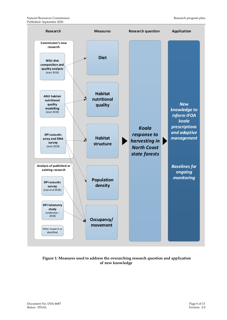

**Figure 1: Measures used to address the overarching research question and application of new knowledge**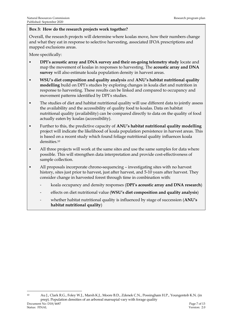### **Box 3: How do the research projects work together?**

Overall, the research projects will determine where koalas move, how their numbers change and what they eat in response to selective harvesting, associated IFOA prescriptions and mapped exclusions areas.

More specifically:

- **DPI's acoustic array and DNA survey and their on-going telemetry study** locate and map the movement of koalas in responses to harvesting. The **acoustic array and DNA survey** will also estimate koala population density in harvest areas.
- **WSU's diet composition and quality analysis** and **ANU's habitat nutritional quality modelling** build on DPI's studies by exploring changes in koala diet and nutrition in response to harvesting. These results can be linked and compared to occupancy and movement patterns identified by DPI's studies.
- The studies of diet and habitat nutritional quality will use different data to jointly assess the availability and the accessibility of quality food to koalas. Data on habitat nutritional quality (availability) can be compared directly to data on the quality of food actually eaten by koalas (accessibility).
- Further to this, the predictive capacity of **ANU's habitat nutritional quality modelling**  project will indicate the likelihood of koala population persistence in harvest areas. This is based on a recent study which found foliage nutritional quality influences koala densities.<sup>10</sup>
- **All three projects will work at the same sites and use the same samples for data where** possible. This will strengthen data interpretation and provide cost-effectiveness of sample collection.
- All proposals incorporate chrono-sequencing investigating sites with no harvest history, sites just prior to harvest, just after harvest, and 5-10 years after harvest. They consider change in harvested forest through time in combination with:
	- koala occupancy and density responses (**DPI's acoustic array and DNA research**)
	- effects on diet nutritional value (**WSU's diet composition and quality analysis**)
	- whether habitat nutritional quality is influenced by stage of succession (**ANU's habitat nutritional quality**)

Document No: D18/4687 Page 7 of 13<br>
Status: FINAL Presion: 20 Status: FINAL Version: 2.0 <sup>10</sup> Au J., Clark R.G., Foley W.J., Marsh K.J., Moore B.D., Zdenek C.N., Possingham H.P., Youngentob K.N. (in prep). Population densities of an arboreal marsupial vary with forage quality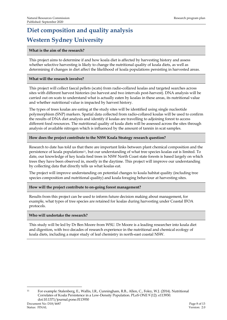# **Diet composition and quality analysis Western Sydney University**

#### **What is the aim of the research?**

This project aims to determine if and how koala diet is affected by harvesting history and assess whether selective harvesting is likely to change the nutritional quality of koala diets, as well as determining if changes in diet affect the likelihood of koala populations persisting in harvested areas.

#### **What will the research involve?**

This project will collect faecal pellets (scats) from radio-collared koalas and targeted searches across sites with different harvest histories (no harvest and two intervals post-harvest). DNA analysis will be carried out on scats to understand what is actually eaten by koalas in these areas, its nutritional value and whether nutritional value is impacted by harvest history.

The types of trees koalas are eating at the study sites will be identified using single nucleotide polymorphism (SNP) markers. Spatial data collected from radio-collared koalas will be used to confirm the results of DNA diet analysis and identify if koalas are travelling to adjoining forest to access different food resources. The nutritional quality of koala diets will be assessed across the sites through analysis of available nitrogen which is influenced by the amount of tannin in scat samples.

#### **How does the project contribute to the NSW Koala Strategy research question?**

Research to date has told us that there are important links between plant chemical composition and the persistence of koala populations11, but our understanding of what tree species koalas eat is limited. To date, our knowledge of key koala feed trees in NSW North Coast state forests is based largely on which trees they have been observed in, mostly in the daytime. This project will improve our understanding by collecting data that directly tells us what koalas eat.

The project will improve understanding on potential changes to koala habitat quality (including tree species composition and nutritional quality) and koala foraging behaviour at harvesting sites.

#### **How will the project contribute to on-going forest management?**

Results from this project can be used to inform future decision making about management, for example, what types of tree species are retained for koalas during harvesting under Coastal IFOA protocols.

#### **Who will undertake the research?**

This study will be led by Dr Ben Moore from WSU. Dr Moore is a leading researcher into koala diet and digestion, with two decades of research experience in the nutritional and chemical ecology of koala diets, including a major study of leaf chemistry in north-east coastal NSW.

Document No: D18/4687 Page 8 of 13 <sup>11</sup> For example: Stalenberg, E., Wallis, I.R., Cunningham, R.B., Allen, C., Foley, W.J. (2014). Nutritional Correlates of Koala Persistence in a Low-Density Population. PLoS ONE 9 (12): e113930. doi:10.1371/journal.pone.0113930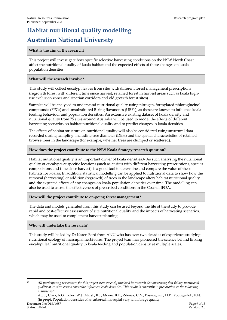# **Habitat nutritional quality modelling Australian National University**

#### **What is the aim of the research?**

This project will investigate how specific selective harvesting conditions on the NSW North Coast affect the nutritional quality of koala habitat and the expected effects of these changes on koala population densities.

#### **What will the research involve?**

This study will collect eucalypt leaves from sites with different forest management prescriptions (regrowth forest with different time since harvest, retained forest in harvest areas such as koala highuse exclusion zones and riparian corridors and old growth forest sites).

Samples will be analysed to understand nutritional quality using nitrogen, formylated phloroglucinol compounds (FPCs) and unsubstituted B-ring flavanones (UBFs), as these are known to influence koala feeding behaviour and population densities. An extensive existing dataset of koala density and nutritional quality from 75 sites around Australia will be used to model the effects of different harvesting scenarios on habitat nutritional quality and to predict changes in koala densities.

The effects of habitat structure on nutritional quality will also be considered using structural data recorded during sampling, including tree diameter (DBH) and the spatial characteristics of retained browse trees in the landscape (for example, whether trees are clumped or scattered).

#### **How does the project contribute to the NSW Koala Strategy research question?**

Habitat nutritional quality is an important driver of koala densities. <sup>12</sup> As such analysing the nutritional quality of eucalypts at specific locations (such as at sites with different harvesting prescriptions, species compositions and time since harvest) is a good tool to determine and compare the value of these habitats for koalas. In addition, statistical modelling can be applied to nutritional data to show how the removal (harvesting) or addition (regrowth) of trees in the landscape alters habitat nutritional quality and the expected effects of any changes on koala population densities over time. The modelling can also be used to assess the effectiveness of prescribed conditions in the Coastal IFOA.

#### **How will the project contribute to on-going forest management?**

The data and models generated from this study can be used beyond the life of the study to provide rapid and cost-effective assessment of site nutritional quality and the impacts of harvesting scenarios, which may be used to complement harvest planning.

#### **Who will undertake the research?**

This study will be led by Dr Karen Ford from ANU who has over two decades of experience studying nutritional ecology of marsupial herbivores. The project team has pioneered the science behind linking eucalypt leaf nutritional quality to koala feeding and population density at multiple scales.

Document No: D18/4687 Page 9 of 13 Au, J., Clark, R.G., Foley, W.J., Marsh, K.J., Moore, B.D., Zdenek, C.N., Possingham, H.P., Youngentob, K.N. (in prep). Population densities of an arboreal marsupial vary with forage quality.

<sup>12</sup> *All participating researchers for this project were recently involved in research demonstrating that foliage nutritional quality at 75 sites across Australia influences koala densities. This study is currently in preparation as the following manuscript:*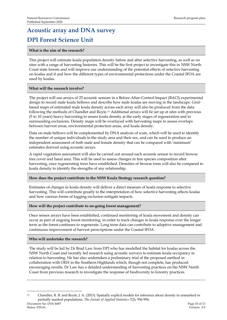# **Acoustic array and DNA survey DPI Forest Science Unit**

#### **What is the aim of the research?**

This project will estimate koala population density before and after selective harvesting, as well as on sites with a range of harvesting histories. This will be the first project to investigate this in NSW North Coast state forests and will improve our understanding of the potential effects of selective harvesting on koalas and if and how the different types of environmental protections under the Coastal IFOA are used by koalas.

#### **What will the research involve?**

The project will use arrays of 25 acoustic sensors in a Before-After-Control-Impact (BACI) experimental design to record male koala bellows and describe how male koalas are moving in the landscape. Gridbased maps of estimated male koala density across each array will also be produced from the data following the methods of Chandler and Royle. <sup>13</sup> Additional arrays will be set up at sites with previous (5 to 10 years) heavy harvesting to assess koala density at the early stages of regeneration and in surrounding exclusions. Density maps will be overlayed with harvesting maps to assess overlaps between harvest areas, environmental protection areas, and koala density.

Data on male bellows will be complemented by DNA analysis of scats, which will be used to identify the number of unique individuals in the study area and their sex, and can be used to produce an independent assessment of both male and female density that can be compared with 'minimum' estimates derived using acoustic arrays.

A rapid vegetation assessment will also be carried out around each acoustic sensor to record browse tree cover and basal area. This will be used to assess changes in tree species composition after harvesting, once regenerating trees have established. Densities of browse trees will also be compared to koala density to identify the strengths of any relationship.

#### **How does the project contribute to the NSW Koala Strategy research question?**

Estimates of changes in koala density will deliver a direct measure of koala response to selective harvesting. This will contribute greatly to the interpretation of how selective harvesting affects koalas and how various forms of logging exclusion mitigate impacts.

#### **How will the project contribute to on-going forest management?**

Once sensor arrays have been established, continued monitoring of koala movement and density can occur as part of ongoing forest monitoring, in order to track changes in koala response over the longer term as the forest continues to regenerate. Long term data can contribute to adaptive management and continuous improvement of harvest prescriptions under the Coastal IFOA.

#### **Who will undertake the research?**

The study will be led by Dr Brad Law from DPI who has modelled the habitat for koalas across the NSW North Coast and recently led research using acoustic surveys to estimate koala occupancy in relation to harvesting. He has also undertaken a preliminary trial of the proposed method in collaboration with OEH in the Southern Highlands which, though not complete, has produced encouraging results. Dr Law has a detailed understanding of harvesting practices on the NSW North Coast from previous research to investigate the response of biodiversity to forestry practices.

Document No: D18/4687 Page 10 of 13 Status: FINAL Version: 2.0 <sup>13</sup> Chandler, R. B. and Royle, J. A. (2013). Spatially explicit models for inference about density in unmarked or partially marked populations. *The Annals of Applied Statistics* 7(2): 936-954.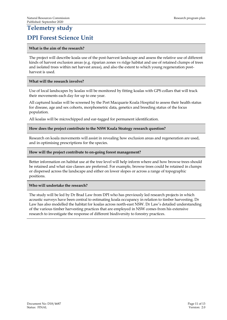# **Telemetry study**

### **DPI Forest Science Unit**

#### **What is the aim of the research?**

The project will describe koala use of the post-harvest landscape and assess the relative use of different kinds of harvest exclusion areas (e.g. riparian zones vs ridge habitat and use of retained clumps of trees and isolated trees within net harvest areas), and also the extent to which young regeneration postharvest is used.

#### **What will the research involve?**

Use of local landscapes by koalas will be monitored by fitting koalas with GPS collars that will track their movements each day for up to one year.

All captured koalas will be screened by the Port Macquarie Koala Hospital to assess their health status for disease, age and sex cohorts, morphometric data, genetics and breeding status of the focus population.

All koalas will be microchipped and ear-tagged for permanent identification.

#### **How does the project contribute to the NSW Koala Strategy research question?**

Research on koala movements will assist in revealing how exclusion areas and regeneration are used, and in optimising prescriptions for the species.

#### **How will the project contribute to on-going forest management?**

Better information on habitat use at the tree level will help inform where and how browse trees should be retained and what size classes are preferred. For example, browse trees could be retained in clumps or dispersed across the landscape and either on lower slopes or across a range of topographic positions.

#### **Who will undertake the research?**

The study will be led by Dr Brad Law from DPI who has previously led research projects in which acoustic surveys have been central to estimating koala occupancy in relation to timber harvesting. Dr Law has also modelled the habitat for koalas across north-east NSW. Dr Law's detailed understanding of the various timber harvesting practices that are employed in NSW comes from his extensive research to investigate the response of different biodiversity to forestry practices.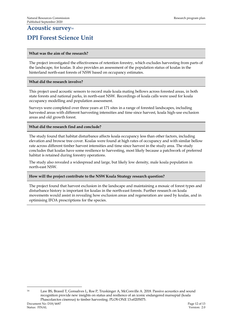### **Acoustic survey<sup>14</sup> DPI Forest Science Unit**

#### **What was the aim of the research?**

The project investigated the effectiveness of retention forestry, which excludes harvesting from parts of the landscape, for koalas. It also provides an assessment of the population status of koalas in the hinterland north-east forests of NSW based on occupancy estimates.

#### **What did the research involve?**

This project used acoustic sensors to record male koala mating bellows across forested areas, in both state forests and national parks, in north-east NSW. Recordings of koala calls were used for koala occupancy modelling and population assessment.

Surveys were completed over three years at 171 sites in a range of forested landscapes, including harvested areas with different harvesting intensities and time since harvest, koala high-use exclusion areas and old growth forest.

#### **What did the research find and conclude?**

The study found that habitat disturbance affects koala occupancy less than other factors, including elevation and browse tree cover. Koalas were found at high rates of occupancy and with similar bellow rate across different timber harvest intensities and time since harvest in the study area. The study concludes that koalas have some resilience to harvesting, most likely because a patchwork of preferred habitat is retained during forestry operations.

The study also revealed a widespread and large, but likely low density, male koala population in north-east NSW.

#### **How will the project contribute to the NSW Koala Strategy research question?**

The project found that harvest exclusion in the landscape and maintaining a mosaic of forest types and disturbance history is important for koalas in the north-east forests. Further research on koala movements would assist in revealing how exclusion areas and regeneration are used by koalas, and in optimising IFOA prescriptions for the species.

Document No: D18/4687 Page 12 of 13 <sup>14</sup> Law BS, Brassil T, Gonsalves L, Roe P, Truskinger A, McConville A. 2018. Passive acoustics and sound recognition provide new insights on status and resilience of an iconic endangered marsupial (koala Phascolarctos cinereus) to timber harvesting. PLOS ONE 13:e0205075.